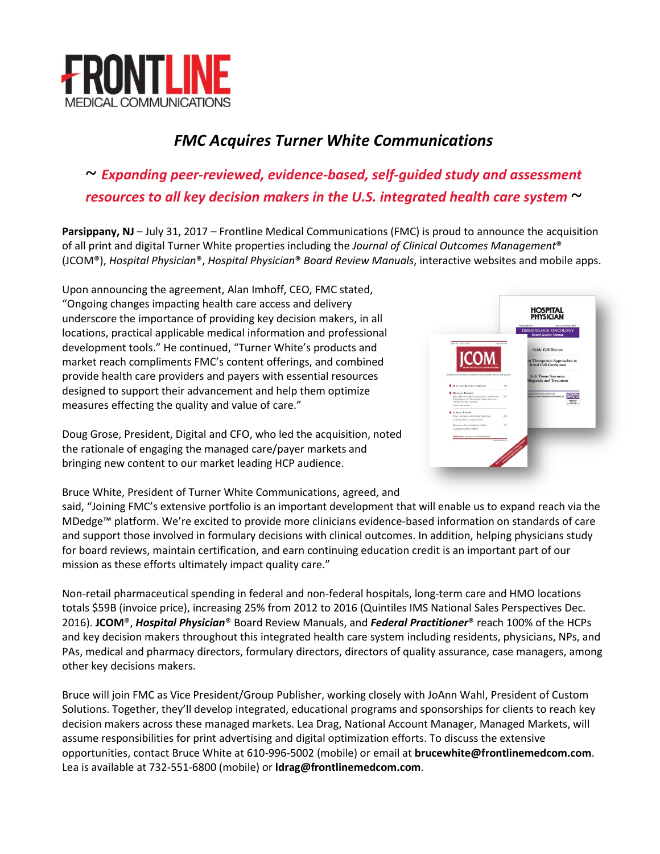

## *FMC Acquires Turner White Communications*

# *~ Expanding peer-reviewed, evidence-based, self-guided study and assessment resources to all key decision makers in the U.S. integrated health care system ~*

**Parsippany, NJ** – July 31, 2017 – Frontline Medical Communications (FMC) is proud to announce the acquisition of all print and digital Turner White properties including the *Journal of Clinical Outcomes Management*® (JCOM®), *Hospital Physician*®, *Hospital Physician*® *Board Review Manuals*, interactive websites and mobile apps.

Upon announcing the agreement, Alan Imhoff, CEO, FMC stated, "Ongoing changes impacting health care access and delivery underscore the importance of providing key decision makers, in all locations, practical applicable medical information and professional development tools." He continued, "Turner White's products and market reach compliments FMC's content offerings, and combined provide health care providers and payers with essential resources designed to support their advancement and help them optimize measures effecting the quality and value of care."

**HOSPITAL<br>PHYSICIAN CON** 

Doug Grose, President, Digital and CFO, who led the acquisition, noted the rationale of engaging the managed care/payer markets and bringing new content to our market leading HCP audience.

Bruce White, President of Turner White Communications, agreed, and

said, "Joining FMC's extensive portfolio is an important development that will enable us to expand reach via the MDedge™ platform. We're excited to provide more clinicians evidence-based information on standards of care and support those involved in formulary decisions with clinical outcomes. In addition, helping physicians study for board reviews, maintain certification, and earn continuing education credit is an important part of our mission as these efforts ultimately impact quality care."

Non-retail pharmaceutical spending in federal and non-federal hospitals, long-term care and HMO locations totals \$59B (invoice price), increasing 25% from 2012 to 2016 (Quintiles IMS National Sales Perspectives Dec. 2016). **JCOM**®, *Hospital Physician*® Board Review Manuals, and *Federal Practitioner*® reach 100% of the HCPs and key decision makers throughout this integrated health care system including residents, physicians, NPs, and PAs, medical and pharmacy directors, formulary directors, directors of quality assurance, case managers, among other key decisions makers.

Bruce will join FMC as Vice President/Group Publisher, working closely with JoAnn Wahl, President of Custom Solutions. Together, they'll develop integrated, educational programs and sponsorships for clients to reach key decision makers across these managed markets. Lea Drag, National Account Manager, Managed Markets, will assume responsibilities for print advertising and digital optimization efforts. To discuss the extensive opportunities, contact Bruce White at 610-996-5002 (mobile) or email at **[brucewhite@frontlinemedcom.com](mailto:brucewhite@frontlinemedcom.com)**. Lea is available at 732-551-6800 (mobile) or **[ldrag@frontlinemedcom.com](mailto:ldrag@frontlinemedcom.com)**.